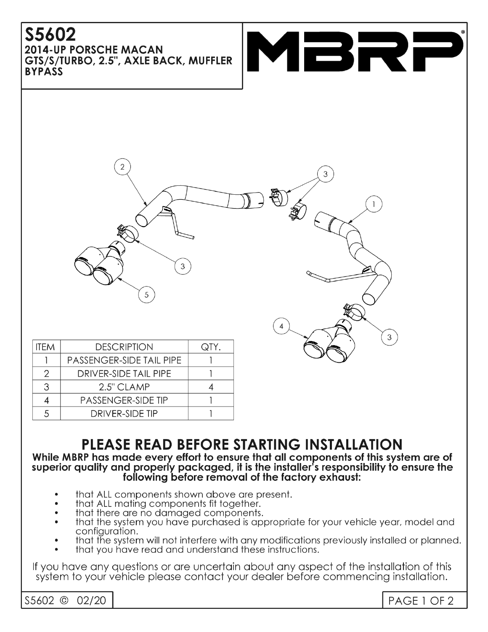# **S5602 2014-UP PORSCHE MACAN**

GTS/S/TURBO, 2.5", AXLE BACK, MUFFLER **BYPASS** 





| <b>ITFM</b> | <b>DESCRIPTION</b>              | QTY. |
|-------------|---------------------------------|------|
|             | <b>PASSENGER-SIDE TAIL PIPE</b> |      |
| 2           | DRIVER-SIDE TAIL PIPE           |      |
| 3           | 2.5" CLAMP                      |      |
|             | <b>PASSENGER-SIDE TIP</b>       |      |
| 5           | <b>DRIVER-SIDE TIP</b>          |      |

# PLEASE READ BEFORE STARTING INSTALLATION

#### While MBRP has made every effort to ensure that all components of this system are of superior quality and properly packaged, it is the installer's responsibility to ensure the following before removal of the factory exhaust:

- that ALL components shown above are present.
- that ALL mating components fit together.
- that there are no damaged components.
- that the system you have purchased is appropriate for your vehicle year, model and configuration.
- that the system will not interfere with any modifications previously installed or planned.
- that you have read and understand these instructions.

If you have any questions or are uncertain about any aspect of the installation of this system to your vehicle please contact your dealer before commencing installation.

3